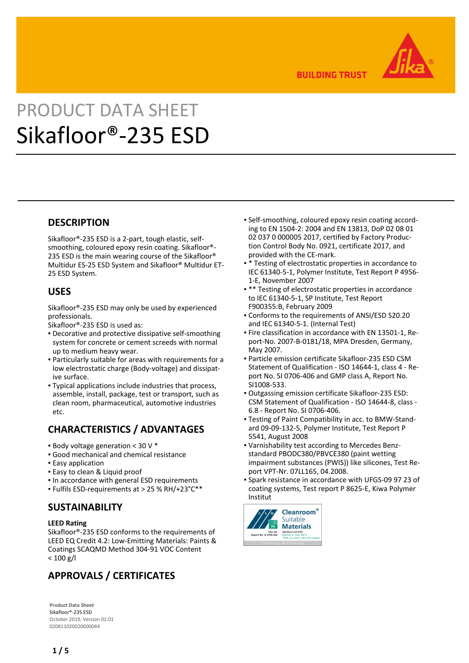

**BUILDING TRUST** 

# PRODUCT DATA SHEET Sikafloor®-235 ESD

### **DESCRIPTION**

Sikafloor®-235 ESD is a 2-part, tough elastic, selfsmoothing, coloured epoxy resin coating. Sikafloor®- 235 ESD is the main wearing course of the Sikafloor® Multidur ES-25 ESD System and Sikafloor® Multidur ET-25 ESD System.

### **USES**

Sikafloor®-235 ESD may only be used by experienced professionals.

Sikafloor®-235 ESD is used as:

- **Decorative and protective dissipative self-smoothing** system for concrete or cement screeds with normal up to medium heavy wear.
- Particularly suitable for areas with requirements for a low electrostatic charge (Body-voltage) and dissipative surface.
- Typical applications include industries that process, assemble, install, package, test or transport, such as clean room, pharmaceutical, automotive industries etc.

### **CHARACTERISTICS / ADVANTAGES**

- $\bullet$  Body voltage generation < 30 V  $\ast$
- Good mechanical and chemical resistance
- **Easy application**
- **Easy to clean & Liquid proof**
- In accordance with general ESD requirements
- Fulfils ESD-requirements at > 25 % RH/+23°C\*\*

### **SUSTAINABILITY**

#### **LEED Rating**

Sikafloor®-235 ESD conforms to the requirements of LEED EQ Credit 4.2: Low-Emitting Materials: Paints & Coatings SCAQMD Method 304-91 VOC Content  $< 100$  g/l

## **APPROVALS / CERTIFICATES**

**Product Data Sheet** Sikafloor®-235 ESD October 2019, Version 02.01 020811020020000044

- Self-smoothing, coloured epoxy resin coating accord-▪ ing to EN 1504-2: 2004 and EN 13813, DoP 02 08 01 02 037 0 000005 2017, certified by Factory Production Control Body No. 0921, certificate 2017, and provided with the CE-mark.
- \* Testing of electrostatic properties in accordance to IEC 61340-5-1, Polymer Institute, Test Report P 4956- 1-E, November 2007
- \*\* Testing of electrostatic properties in accordance to IEC 61340-5-1, SP Institute, Test Report F900355:B, February 2009
- Conforms to the requirements of ANSI/ESD S20.20 and IEC 61340-5-1. (Internal Test)
- Fire classification in accordance with EN 13501-1, Re-▪ port-No. 2007-B-0181/18, MPA Dresden, Germany, May 2007.
- Particle emission certificate Sikafloor-235 ESD CSM Statement of Qualification - ISO 14644-1, class 4 - Report No. SI 0706-406 and GMP class A, Report No. SI1008-533.
- Outgassing emission certificate Sikafloor-235 ESD: CSM Statement of Qualification - ISO 14644-8, class - 6.8 - Report No. SI 0706-406.
- Testing of Paint Compatibility in acc. to BMW-Stand-▪ ard 09-09-132-5, Polymer Institute, Test Report P 5541, August 2008
- Varnishability test according to Mercedes Benz-▪ standard PBODC380/PBVCE380 (paint wetting impairment substances (PWIS)) like silicones, Test Report VPT-Nr. 07LL165, 04.2008.
- Spark resistance in accordance with UFGS-09 97 23 of coating systems, Test report P 8625-E, Kiwa Polymer Institut

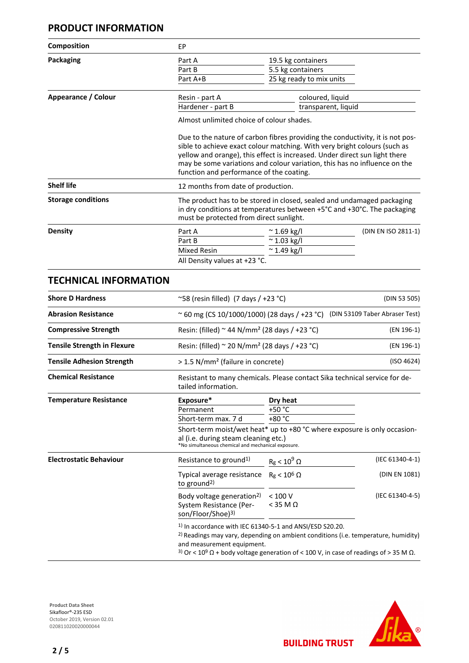### **PRODUCT INFORMATION**

| <b>Composition</b>        | EP                                                                                                                                                                                                                                                                                                                                                                |                          |                     |  |  |
|---------------------------|-------------------------------------------------------------------------------------------------------------------------------------------------------------------------------------------------------------------------------------------------------------------------------------------------------------------------------------------------------------------|--------------------------|---------------------|--|--|
| Packaging                 | Part A                                                                                                                                                                                                                                                                                                                                                            | 19.5 kg containers       |                     |  |  |
|                           | Part B                                                                                                                                                                                                                                                                                                                                                            | 5.5 kg containers        |                     |  |  |
|                           | Part A+B                                                                                                                                                                                                                                                                                                                                                          | 25 kg ready to mix units |                     |  |  |
| Appearance / Colour       | Resin - part A                                                                                                                                                                                                                                                                                                                                                    | coloured, liquid         |                     |  |  |
|                           | Hardener - part B                                                                                                                                                                                                                                                                                                                                                 | transparent, liquid      |                     |  |  |
|                           | Almost unlimited choice of colour shades.                                                                                                                                                                                                                                                                                                                         |                          |                     |  |  |
|                           | Due to the nature of carbon fibres providing the conductivity, it is not pos-<br>sible to achieve exact colour matching. With very bright colours (such as<br>yellow and orange), this effect is increased. Under direct sun light there<br>may be some variations and colour variation, this has no influence on the<br>function and performance of the coating. |                          |                     |  |  |
| <b>Shelf life</b>         | 12 months from date of production.                                                                                                                                                                                                                                                                                                                                |                          |                     |  |  |
| <b>Storage conditions</b> | The product has to be stored in closed, sealed and undamaged packaging<br>in dry conditions at temperatures between +5°C and +30°C. The packaging<br>must be protected from direct sunlight.                                                                                                                                                                      |                          |                     |  |  |
| <b>Density</b>            | Part A                                                                                                                                                                                                                                                                                                                                                            | $\approx$ 1.69 kg/l      | (DIN EN ISO 2811-1) |  |  |
|                           | Part B                                                                                                                                                                                                                                                                                                                                                            | $~^{\sim}$ 1.03 kg/l     |                     |  |  |
|                           | Mixed Resin                                                                                                                                                                                                                                                                                                                                                       | $~^{\circ}$ 1.49 kg/l    |                     |  |  |
|                           | All Density values at +23 °C.                                                                                                                                                                                                                                                                                                                                     |                          |                     |  |  |

### **TECHNICAL INFORMATION**

| <b>Shore D Hardness</b>            | ~58 (resin filled) $(7 \text{ days } / +23 \degree C)$                                                                                                                                                                                                                                                             | (DIN 53 505)                 |                 |  |  |
|------------------------------------|--------------------------------------------------------------------------------------------------------------------------------------------------------------------------------------------------------------------------------------------------------------------------------------------------------------------|------------------------------|-----------------|--|--|
| <b>Abrasion Resistance</b>         | ~ 60 mg (CS 10/1000/1000) (28 days / +23 °C) (DIN 53109 Taber Abraser Test)                                                                                                                                                                                                                                        |                              |                 |  |  |
| <b>Compressive Strength</b>        | Resin: (filled) $\sim$ 44 N/mm <sup>2</sup> (28 days / +23 °C)                                                                                                                                                                                                                                                     | (EN 196-1)                   |                 |  |  |
| <b>Tensile Strength in Flexure</b> | Resin: (filled) $\sim$ 20 N/mm <sup>2</sup> (28 days / +23 °C)                                                                                                                                                                                                                                                     | (EN 196-1)                   |                 |  |  |
| <b>Tensile Adhesion Strength</b>   | > 1.5 N/mm <sup>2</sup> (failure in concrete)                                                                                                                                                                                                                                                                      | (ISO 4624)                   |                 |  |  |
| <b>Chemical Resistance</b>         | Resistant to many chemicals. Please contact Sika technical service for de-<br>tailed information.                                                                                                                                                                                                                  |                              |                 |  |  |
| <b>Temperature Resistance</b>      | Exposure*                                                                                                                                                                                                                                                                                                          | Dry heat                     |                 |  |  |
|                                    | Permanent                                                                                                                                                                                                                                                                                                          | $+50 °C$                     |                 |  |  |
|                                    | Short-term max. 7 d                                                                                                                                                                                                                                                                                                | +80 °C                       |                 |  |  |
|                                    | Short-term moist/wet heat* up to +80 °C where exposure is only occasion-<br>al (i.e. during steam cleaning etc.)<br>*No simultaneous chemical and mechanical exposure.                                                                                                                                             |                              |                 |  |  |
| <b>Electrostatic Behaviour</b>     | Resistance to ground <sup>1)</sup>                                                                                                                                                                                                                                                                                 | $R_g < 10^9 \Omega$          | (IEC 61340-4-1) |  |  |
|                                    | Typical average resistance<br>to ground <sup>2)</sup>                                                                                                                                                                                                                                                              | $R_g < 10^6 \Omega$          | (DIN EN 1081)   |  |  |
|                                    | Body voltage generation <sup>2)</sup><br>System Resistance (Per-<br>son/Floor/Shoe) <sup>3)</sup>                                                                                                                                                                                                                  | < 100 V<br>$<$ 35 M $\Omega$ | (IEC 61340-4-5) |  |  |
|                                    | <sup>1)</sup> In accordance with IEC 61340-5-1 and ANSI/ESD S20.20.<br><sup>2</sup> ) Readings may vary, depending on ambient conditions (i.e. temperature, humidity)<br>and measurement equipment.<br><sup>3)</sup> Or < 10 <sup>9</sup> Ω + body voltage generation of < 100 V, in case of readings of > 35 M Ω. |                              |                 |  |  |





**BUILDING TRUST**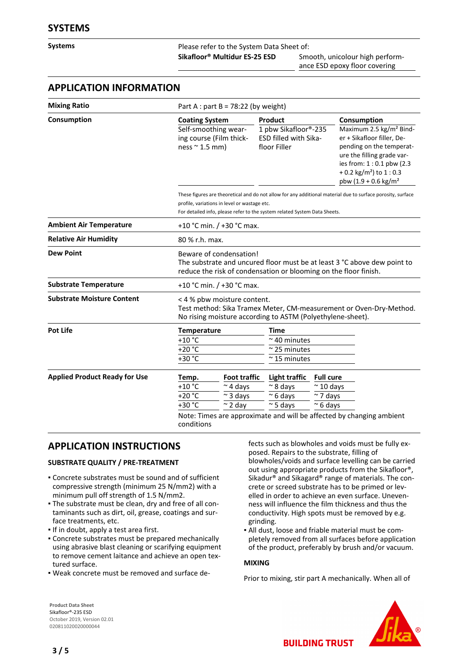### **Systems** Please refer to the System Data Sheet of: **Sikafloor® Multidur ES-25 ESD** Smooth, unicolour high perform-

ance ESD epoxy floor covering

#### **APPLICATION INFORMATION**

| <b>Mixing Ratio</b>                  | Part A : part B = 78:22 (by weight)                                                                                                                                     |                             |                                                               |                   |                                                                                                                                                                                              |  |  |
|--------------------------------------|-------------------------------------------------------------------------------------------------------------------------------------------------------------------------|-----------------------------|---------------------------------------------------------------|-------------------|----------------------------------------------------------------------------------------------------------------------------------------------------------------------------------------------|--|--|
| Consumption                          | <b>Coating System</b>                                                                                                                                                   |                             | Product                                                       |                   | Consumption<br>Maximum 2.5 kg/m <sup>2</sup> Bind-                                                                                                                                           |  |  |
|                                      | Self-smoothing wear-<br>ing course (Film thick-<br>ness $\sim$ 1.5 mm)                                                                                                  |                             | 1 pbw Sikafloor®-235<br>ESD filled with Sika-<br>floor Filler |                   | er + Sikafloor filler, De-<br>pending on the temperat-<br>ure the filling grade var-<br>ies from: 1:0.1 pbw (2.3<br>+ 0.2 kg/m <sup>2</sup> ) to $1:0.3$<br>pbw $(1.9 + 0.6 \text{ kg/m}^2)$ |  |  |
|                                      | These figures are theoretical and do not allow for any additional material due to surface porosity, surface                                                             |                             |                                                               |                   |                                                                                                                                                                                              |  |  |
|                                      | profile, variations in level or wastage etc.<br>For detailed info, please refer to the system related System Data Sheets.                                               |                             |                                                               |                   |                                                                                                                                                                                              |  |  |
| <b>Ambient Air Temperature</b>       |                                                                                                                                                                         | +10 °C min. $/$ +30 °C max. |                                                               |                   |                                                                                                                                                                                              |  |  |
| <b>Relative Air Humidity</b>         | 80 % r.h. max.                                                                                                                                                          |                             |                                                               |                   |                                                                                                                                                                                              |  |  |
| <b>Dew Point</b>                     | Beware of condensation!<br>The substrate and uncured floor must be at least 3 °C above dew point to<br>reduce the risk of condensation or blooming on the floor finish. |                             |                                                               |                   |                                                                                                                                                                                              |  |  |
| <b>Substrate Temperature</b>         |                                                                                                                                                                         | +10 °C min. / +30 °C max.   |                                                               |                   |                                                                                                                                                                                              |  |  |
| <b>Substrate Moisture Content</b>    | < 4 % pbw moisture content.<br>Test method: Sika Tramex Meter, CM-measurement or Oven-Dry-Method.<br>No rising moisture according to ASTM (Polyethylene-sheet).         |                             |                                                               |                   |                                                                                                                                                                                              |  |  |
| <b>Pot Life</b>                      | Temperature                                                                                                                                                             |                             | <b>Time</b>                                                   |                   |                                                                                                                                                                                              |  |  |
|                                      | $+10$ °C                                                                                                                                                                |                             | $~\sim$ 40 minutes                                            |                   |                                                                                                                                                                                              |  |  |
|                                      | $+20 °C$                                                                                                                                                                |                             | $~\sim$ 25 minutes                                            |                   |                                                                                                                                                                                              |  |  |
|                                      | +30 °C                                                                                                                                                                  |                             | $\approx$ 15 minutes                                          |                   |                                                                                                                                                                                              |  |  |
| <b>Applied Product Ready for Use</b> | Temp.                                                                                                                                                                   | <b>Foot traffic</b>         | <b>Light traffic</b>                                          | <b>Full cure</b>  |                                                                                                                                                                                              |  |  |
|                                      | $+10$ °C                                                                                                                                                                | $\sim$ 4 days               | $\approx$ 8 days                                              | $\approx$ 10 days |                                                                                                                                                                                              |  |  |
|                                      | $+20 °C$                                                                                                                                                                | $\sim$ 3 days               | $\approx$ 6 days                                              | $\sim$ 7 days     |                                                                                                                                                                                              |  |  |
|                                      | $+30 °C$                                                                                                                                                                | $\sim$ 2 day                | $~\sim$ 5 days                                                | $~\sim$ 6 days    |                                                                                                                                                                                              |  |  |
|                                      | Note: Times are approximate and will be affected by changing ambient<br>conditions                                                                                      |                             |                                                               |                   |                                                                                                                                                                                              |  |  |

### **APPLICATION INSTRUCTIONS**

#### **SUBSTRATE QUALITY / PRE-TREATMENT**

- Concrete substrates must be sound and of sufficient compressive strength (minimum 25 N/mm2) with a minimum pull off strength of 1.5 N/mm2.
- The substrate must be clean, dry and free of all con-▪ taminants such as dirt, oil, grease, coatings and surface treatments, etc.
- If in doubt, apply a test area first.
- Concrete substrates must be prepared mechanically using abrasive blast cleaning or scarifying equipment to remove cement laitance and achieve an open textured surface.
- Weak concrete must be removed and surface de-

fects such as blowholes and voids must be fully exposed. Repairs to the substrate, filling of blowholes/voids and surface levelling can be carried out using appropriate products from the Sikafloor®, Sikadur® and Sikagard® range of materials. The concrete or screed substrate has to be primed or levelled in order to achieve an even surface. Unevenness will influence the film thickness and thus the conductivity. High spots must be removed by e.g. grinding.

All dust, loose and friable material must be com-▪ pletely removed from all surfaces before application of the product, preferably by brush and/or vacuum.

#### **MIXING**

Prior to mixing, stir part A mechanically. When all of

**BUILDING TRUST** 

**Product Data Sheet** Sikafloor®-235 ESD October 2019, Version 02.01 020811020020000044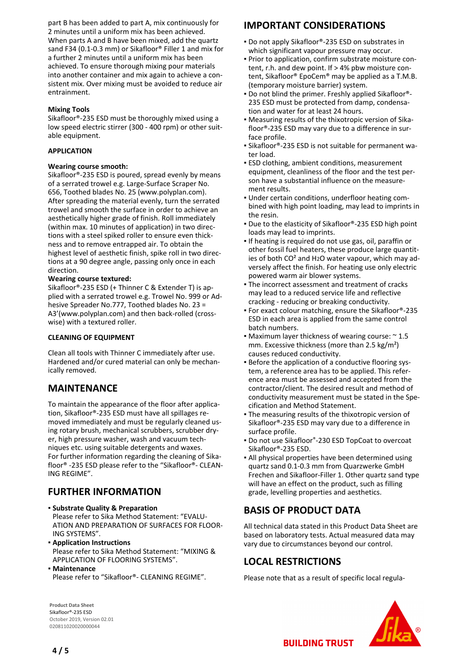part B has been added to part A, mix continuously for 2 minutes until a uniform mix has been achieved. When parts A and B have been mixed, add the quartz sand F34 (0.1-0.3 mm) or Sikafloor® Filler 1 and mix for a further 2 minutes until a uniform mix has been achieved. To ensure thorough mixing pour materials into another container and mix again to achieve a consistent mix. Over mixing must be avoided to reduce air entrainment.

#### **Mixing Tools**

Sikafloor®-235 ESD must be thoroughly mixed using a low speed electric stirrer (300 - 400 rpm) or other suitable equipment.

#### **APPLICATION**

#### **Wearing course smooth:**

Sikafloor®-235 ESD is poured, spread evenly by means of a serrated trowel e.g. Large-Surface Scraper No. 656, Toothed blades No. 25 (www.polyplan.com). After spreading the material evenly, turn the serrated trowel and smooth the surface in order to achieve an aesthetically higher grade of finish. Roll immediately (within max. 10 minutes of application) in two directions with a steel spiked roller to ensure even thickness and to remove entrapped air. To obtain the highest level of aesthetic finish, spike roll in two directions at a 90 degree angle, passing only once in each direction.

#### **Wearing course textured:**

Sikafloor®-235 ESD (+ Thinner C & Extender T) is applied with a serrated trowel e.g. Trowel No. 999 or Adhesive Spreader No.777, Toothed blades No. 23 = A3'(www.polyplan.com) and then back-rolled (crosswise) with a textured roller.

#### **CLEANING OF EQUIPMENT**

Clean all tools with Thinner C immediately after use. Hardened and/or cured material can only be mechanically removed.

### **MAINTENANCE**

To maintain the appearance of the floor after application, Sikafloor®-235 ESD must have all spillages removed immediately and must be regularly cleaned using rotary brush, mechanical scrubbers, scrubber dryer, high pressure washer, wash and vacuum techniques etc. using suitable detergents and waxes. For further information regarding the cleaning of Sikafloor® -235 ESD please refer to the "Sikafloor®- CLEAN-ING REGIME".

### **FURTHER INFORMATION**

- **Example 2 Substrate Quality & Preparation** Please refer to Sika Method Statement: "EVALU-ATION AND PREPARATION OF SURFACES FOR FLOOR-ING SYSTEMS".
- **Application Instructions** Please refer to Sika Method Statement: "MIXING & APPLICATION OF FLOORING SYSTEMS".
- **Maintenance** Please refer to "Sikafloor®- CLEANING REGIME".

**Product Data Sheet** Sikafloor®-235 ESD October 2019, Version 02.01 020811020020000044

### **IMPORTANT CONSIDERATIONS**

- Do not apply Sikafloor®-235 ESD on substrates in which significant vapour pressure may occur.
- Prior to application, confirm substrate moisture con-▪ tent, r.h. and dew point. If > 4% pbw moisture content, Sikafloor® EpoCem® may be applied as a T.M.B. (temporary moisture barrier) system.
- Do not blind the primer. Freshly applied Sikafloor®- 235 ESD must be protected from damp, condensation and water for at least 24 hours.
- Measuring results of the thixotropic version of Sika-▪ floor®-235 ESD may vary due to a difference in surface profile.
- Sikafloor®-235 ESD is not suitable for permanent wa-▪ ter load.
- **ESD clothing, ambient conditions, measurement** equipment, cleanliness of the floor and the test person have a substantial influence on the measurement results.
- Under certain conditions, underfloor heating com-▪ bined with high point loading, may lead to imprints in the resin.
- **Due to the elasticity of Sikafloor®-235 ESD high point** loads may lead to imprints.
- **.** If heating is required do not use gas, oil, paraffin or other fossil fuel heaters, these produce large quantities of both CO² and H2O water vapour, which may adversely affect the finish. For heating use only electric powered warm air blower systems.
- The incorrect assessment and treatment of cracks may lead to a reduced service life and reflective cracking - reducing or breaking conductivity.
- For exact colour matching, ensure the Sikafloor®-235 ESD in each area is applied from the same control batch numbers.
- Maximum layer thickness of wearing course:  $\sim$  1.5 mm. Excessive thickness (more than 2.5 kg/m<sup>2</sup>) causes reduced conductivity.
- Before the application of a conductive flooring sys-▪ tem, a reference area has to be applied. This reference area must be assessed and accepted from the contractor/client. The desired result and method of conductivity measurement must be stated in the Specification and Method Statement.
- The measuring results of the thixotropic version of Sikafloor®-235 ESD may vary due to a difference in surface profile.
- Do not use Sikafloor®-230 ESD TopCoat to overcoat Sikafloor®-235 ESD.
- All physical properties have been determined using quartz sand 0.1-0.3 mm from Quarzwerke GmbH Frechen and Sikafloor-Filler 1. Other quartz sand type will have an effect on the product, such as filling grade, levelling properties and aesthetics.

### **BASIS OF PRODUCT DATA**

All technical data stated in this Product Data Sheet are based on laboratory tests. Actual measured data may vary due to circumstances beyond our control.

### **LOCAL RESTRICTIONS**

Please note that as a result of specific local regula-



**BUILDING TRUST**